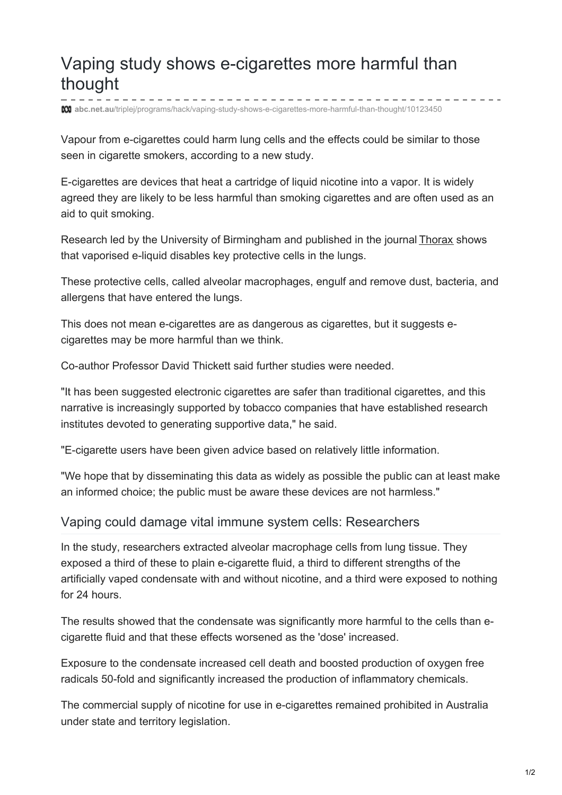# Vaping study shows e-cigarettes more harmful than thought

**abc.net.au**[/triplej/programs/hack/vaping-study-shows-e-cigarettes-more-harmful-than-thought/10123450](http://www.abc.net.au/triplej/programs/hack/vaping-study-shows-e-cigarettes-more-harmful-than-thought/10123450)

Vapour from e-cigarettes could harm lung cells and the effects could be similar to those seen in cigarette smokers, according to a new study.

E-cigarettes are devices that heat a cartridge of liquid nicotine into a vapor. It is widely agreed they are likely to be less harmful than smoking cigarettes and are often used as an aid to quit smoking.

Research led by the University of Birmingham and published in the journal [Thorax](https://thorax.bmj.com/content/early/2018/07/07/thoraxjnl-2018-211663) shows that vaporised e-liquid disables key protective cells in the lungs.

These protective cells, called alveolar macrophages, engulf and remove dust, bacteria, and allergens that have entered the lungs.

This does not mean e-cigarettes are as dangerous as cigarettes, but it suggests ecigarettes may be more harmful than we think.

Co-author Professor David Thickett said further studies were needed.

"It has been suggested electronic cigarettes are safer than traditional cigarettes, and this narrative is increasingly supported by tobacco companies that have established research institutes devoted to generating supportive data," he said.

"E-cigarette users have been given advice based on relatively little information.

"We hope that by disseminating this data as widely as possible the public can at least make an informed choice; the public must be aware these devices are not harmless."

#### Vaping could damage vital immune system cells: Researchers

In the study, researchers extracted alveolar macrophage cells from lung tissue. They exposed a third of these to plain e-cigarette fluid, a third to different strengths of the artificially vaped condensate with and without nicotine, and a third were exposed to nothing for 24 hours.

The results showed that the condensate was significantly more harmful to the cells than ecigarette fluid and that these effects worsened as the 'dose' increased.

Exposure to the condensate increased cell death and boosted production of oxygen free radicals 50-fold and significantly increased the production of inflammatory chemicals.

The commercial supply of nicotine for use in e-cigarettes remained prohibited in Australia under state and territory legislation.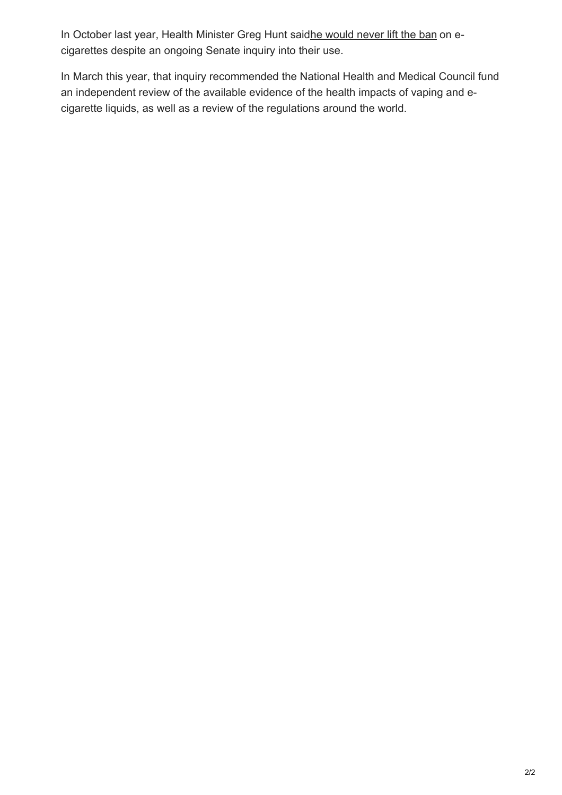In October last year, Health Minister Greg Hunt saidhe [would](http://www.abc.net.au/triplej/programs/hack/health-minister-definitively-rules-out-legalising-e-cigarettes/9055736) never lift the ban on ecigarettes despite an ongoing Senate inquiry into their use.

In March this year, that inquiry recommended the National Health and Medical Council fund an independent review of the available evidence of the health impacts of vaping and ecigarette liquids, as well as a review of the regulations around the world.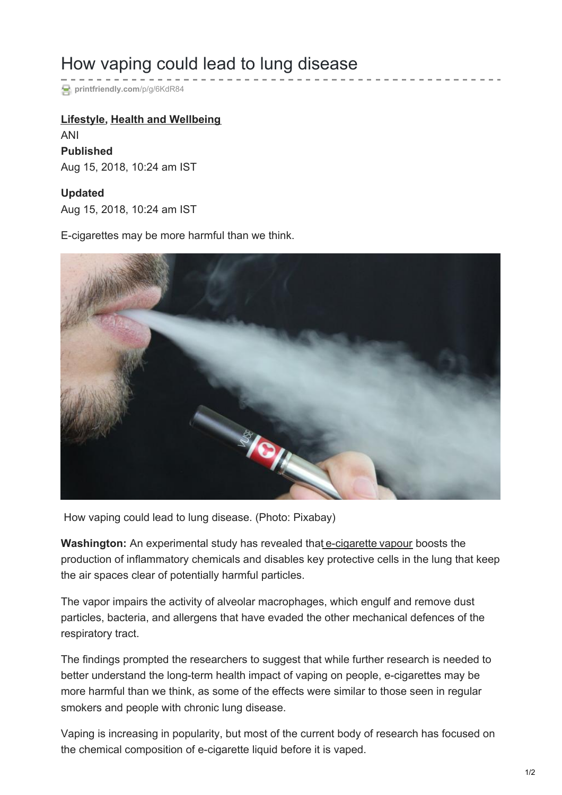# How vaping could lead to lung disease

**[printfriendly.com](https://www.printfriendly.com/p/g/6KdR84)**/p/g/6KdR84

### **[Lifestyle](https://www.deccanchronicle.com/lifestyle), Health and [Wellbeing](https://www.deccanchronicle.com/lifestyle/health-and-well-being)**

ANI **Published** Aug 15, 2018, 10:24 am IST

### **Updated**

Aug 15, 2018, 10:24 am IST

E-cigarettes may be more harmful than we think.



How vaping could lead to lung disease. (Photo: Pixabay)

**Washington:** An experimental study has revealed that [e-cigarette](https://www.deccanchronicle.com/lifestyle/health-and-wellbeing/230218/e-cigarette-vapours-laden-with-toxic-metals-say-experts.html) [vapour](https://www.deccanchronicle.com/lifestyle/health-and-wellbeing/010318/vaping-may-help-pneumonia-causing-bacteria-invade-airways-says-study.html) boosts the production of inflammatory chemicals and disables key protective cells in the lung that keep the air spaces clear of potentially harmful particles.

The vapor impairs the activity of alveolar macrophages, which engulf and remove dust particles, bacteria, and allergens that have evaded the other mechanical defences of the respiratory tract.

The findings prompted the researchers to suggest that while further research is needed to better understand the long-term health impact of vaping on people, e-cigarettes may be more harmful than we think, as some of the effects were similar to those seen in regular smokers and people with chronic lung disease.

Vaping is increasing in popularity, but most of the current body of research has focused on the chemical composition of e-cigarette liquid before it is vaped.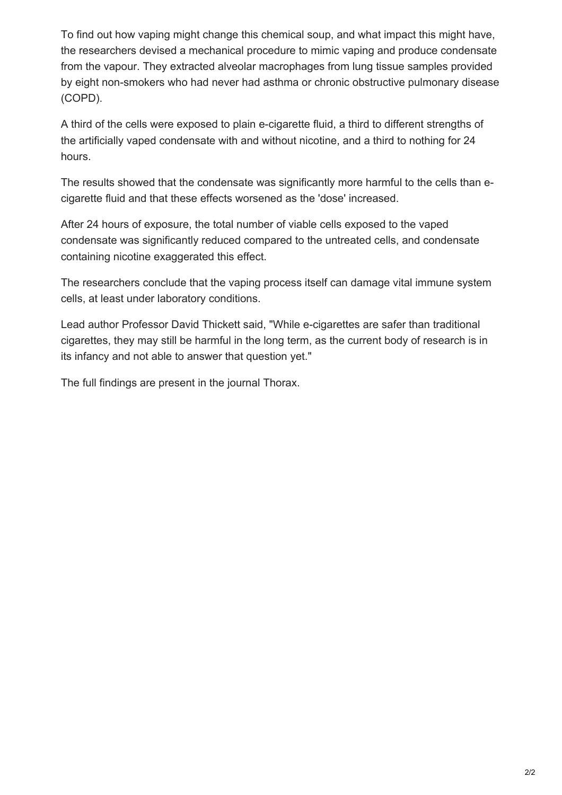To find out how vaping might change this chemical soup, and what impact this might have, the researchers devised a mechanical procedure to mimic vaping and produce condensate from the vapour. They extracted alveolar macrophages from lung tissue samples provided by eight non-smokers who had never had asthma or chronic obstructive pulmonary disease (COPD).

A third of the cells were exposed to plain e-cigarette fluid, a third to different strengths of the artificially vaped condensate with and without nicotine, and a third to nothing for 24 hours.

The results showed that the condensate was significantly more harmful to the cells than ecigarette fluid and that these effects worsened as the 'dose' increased.

After 24 hours of exposure, the total number of viable cells exposed to the vaped condensate was significantly reduced compared to the untreated cells, and condensate containing nicotine exaggerated this effect.

The researchers conclude that the vaping process itself can damage vital immune system cells, at least under laboratory conditions.

Lead author Professor David Thickett said, "While e-cigarettes are safer than traditional cigarettes, they may still be harmful in the long term, as the current body of research is in its infancy and not able to answer that question yet."

The full findings are present in the journal Thorax.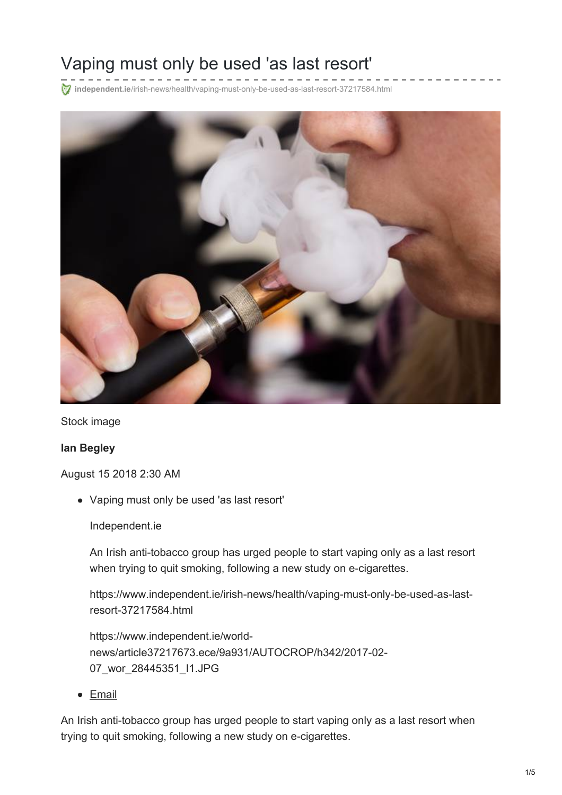# Vaping must only be used 'as last resort'

**independent.ie**[/irish-news/health/vaping-must-only-be-used-as-last-resort-37217584.html](https://www.independent.ie/irish-news/health/vaping-must-only-be-used-as-last-resort-37217584.html)



Stock image

#### **Ian Begley**

August 15 2018 2:30 AM

Vaping must only be used 'as last resort'

Independent.ie

An Irish anti-tobacco group has urged people to start vaping only as a last resort when trying to quit smoking, following a new study on e-cigarettes.

https://www.independent.ie/irish-news/health/vaping-must-only-be-used-as-lastresort-37217584.html

https://www.independent.ie/worldnews/article37217673.ece/9a931/AUTOCROP/h342/2017-02- 07\_wor\_28445351\_I1.JPG

• [Email](mailto:?Subject=Vaping must only be used %27as last resort%27 - Independent.ie&Body=Vaping must only be used %27as last resort%27%0A%0AAn Irish anti-tobacco group has urged people to start vaping only as a last resort when trying to quit smoking%2C following a new study on e-cigarettes.%0A%0Ahttps%3A%2F%2Fwww.independent.ie%2Firish-news%2Fhealth%2Fvaping-must-only-be-used-as-last-resort-37217584.html)

An Irish anti-tobacco group has urged people to start vaping only as a last resort when trying to quit smoking, following a new study on e-cigarettes.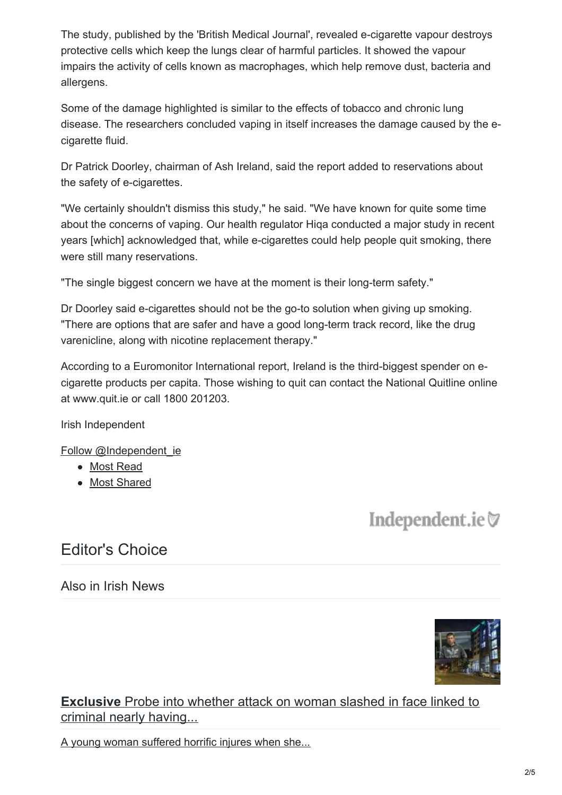The study, published by the 'British Medical Journal', revealed e-cigarette vapour destroys protective cells which keep the lungs clear of harmful particles. It showed the vapour impairs the activity of cells known as macrophages, which help remove dust, bacteria and allergens.

Some of the damage highlighted is similar to the effects of tobacco and chronic lung disease. The researchers concluded vaping in itself increases the damage caused by the ecigarette fluid.

Dr Patrick Doorley, chairman of Ash Ireland, said the report added to reservations about the safety of e-cigarettes.

"We certainly shouldn't dismiss this study," he said. "We have known for quite some time about the concerns of vaping. Our health regulator Hiqa conducted a major study in recent years [which] acknowledged that, while e-cigarettes could help people quit smoking, there were still many reservations.

"The single biggest concern we have at the moment is their long-term safety."

Dr Doorley said e-cigarettes should not be the go-to solution when giving up smoking. "There are options that are safer and have a good long-term track record, like the drug varenicline, along with nicotine replacement therapy."

According to a Euromonitor International report, Ireland is the third-biggest spender on ecigarette products per capita. Those wishing to quit can contact the National Quitline online at www.quit.ie or call 1800 201203.

Irish Independent

Follow [@Independent\\_ie](https://twitter.com/Independent_ie)

- Most [Read](https://www.independent.ie/irish-news/health/vaping-must-only-be-used-as-last-resort-37217584.html#ts1t1)
- Most [Shared](https://www.independent.ie/irish-news/health/vaping-must-only-be-used-as-last-resort-37217584.html#ts1t2)

Independent.ie

# Editor's Choice

Also in Irish News



**Exclusive** Probe into whether attack on woman slashed in face linked to criminal nearly having...

A young woman suffered horrific injures when she...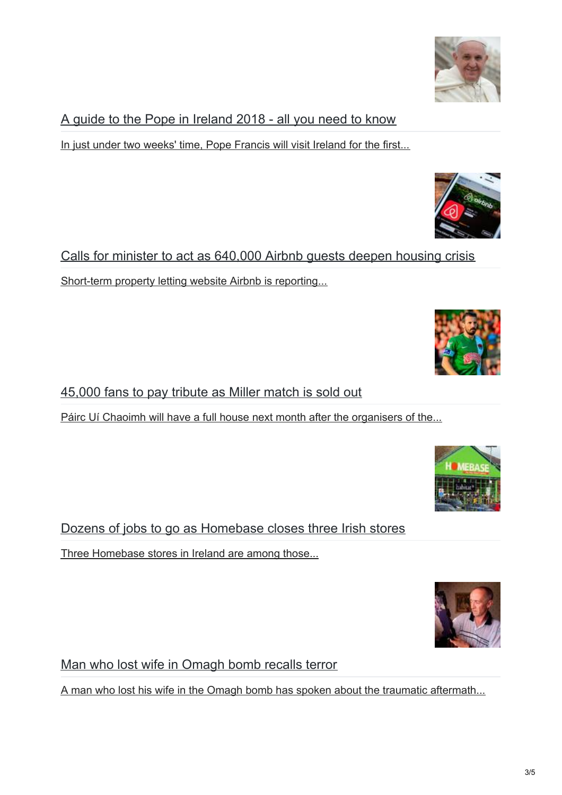A guide to the Pope in Ireland 2018 - all you need to know

In just under two weeks' time, Pope Francis will visit Ireland for the first...

Calls for minister to act as 640,000 Airbnb guests deepen housing crisis Short-term property letting website Airbnb is reporting...

45,000 fans to pay tribute as Miller match is sold out

Páirc Uí Chaoimh will have a full house next month after the organisers of the...

Dozens of jobs to go as Homebase closes three Irish stores

Three Homebase stores in Ireland are among those...

Man who lost wife in Omagh bomb recalls terror

A man who lost his wife in the Omagh bomb has spoken about the traumatic aftermath...







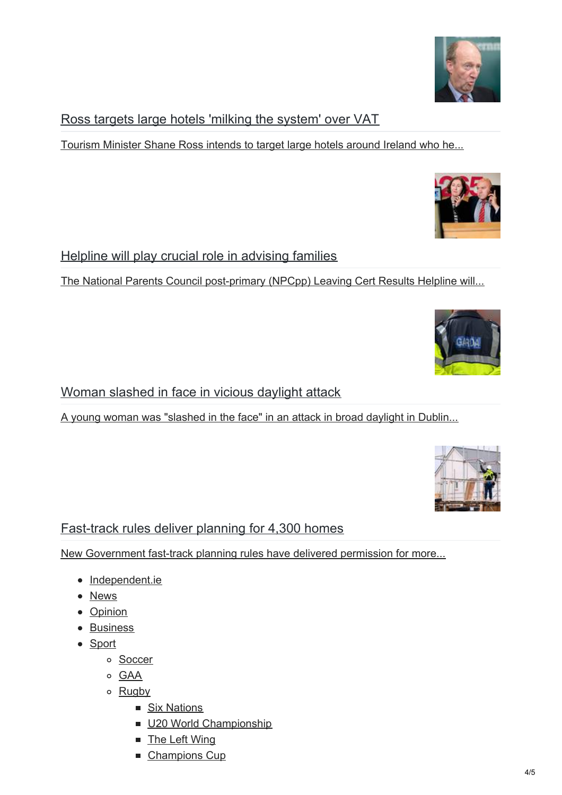### Ross targets large hotels 'milking the system' over VAT

Tourism Minister Shane Ross intends to target large hotels around Ireland who he...

### Helpline will play crucial role in advising families

The National Parents Council post-primary (NPCpp) Leaving Cert Results Helpline will...

### Woman slashed in face in vicious daylight attack

A young woman was "slashed in the face" in an attack in broad daylight in Dublin...

### Fast-track rules deliver planning for 4,300 homes

New Government fast-track planning rules have delivered permission for more...

- [Independent.ie](https://www.independent.ie/)
- [News](https://www.independent.ie/news/)
- [Opinion](https://www.independent.ie/opinion/)
- [Business](https://www.independent.ie/business/)
- [Sport](https://www.independent.ie/sport/)
	- [Soccer](https://www.independent.ie/sport/soccer/)
	- o [GAA](https://www.independent.ie/sport/gaelic-games/)
	- o [Rugby](https://www.independent.ie/sport/rugby/)
		- Six [Nations](https://www.independent.ie/sport/rugby/six-nations/)
		- U20 World [Championship](https://www.independent.ie/sport/rugby/u20s-world-cup/)
		- The Left [Wing](https://www.independent.ie/sport/rugby/the-left-wing/)
		- [Champions](https://www.independent.ie/sport/rugby/champions-cup/) Cup





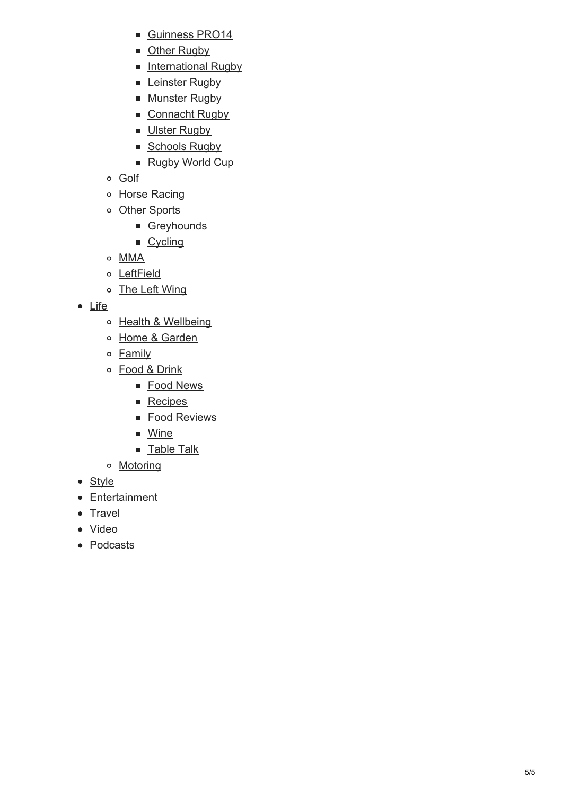- G[uin](https://www.independent.ie/sport/rugby/guinness-pro14/)ness PRO14
- [O](https://www.independent.ie/sport/rugby/other-rugby/)ther Rugby
- [International](https://www.independent.ie/sport/rugby/international-rugby/) Rugby
- L[ein](https://www.independent.ie/sport/rugby/leinster-rugby/)ster Rugby
- [M](https://www.independent.ie/sport/rugby/munster-rugby/)unster Rugby
- [C](https://www.independent.ie/sport/rugby/connacht-rugby/)onnacht Rugby
- [Uls](https://www.independent.ie/sport/rugby/ulster-rugby/)ter Rugby
- Scho[ols](https://www.independent.ie/sport/rugby/schools-rugby/) Rugby
- Rugby Wo[rld](https://www.independent.ie/sport/rugby/world-cup/) Cup
- <u>G[olf](https://www.independent.ie/sport/golf/)</u>
- Horse Ra[cin](https://www.independent.ie/sport/horse-racing/)g
- [O](https://www.independent.ie/sport/other-sports/)ther Sports
	- [G](https://www.independent.ie/sport/greyhounds/)reyhounds
	- Cy[clin](https://www.independent.ie/sport/other-sports/cycling/)g
- [M](https://www.independent.ie/sport/mma/) M A
- L e ft [Field](https://www.independent.ie/sport/leftfield/)
- **The Left [Win](https://www.independent.ie/sport/rugby/the-left-wing/)g**
- [Lif](https://www.independent.ie/life/)e
	- Health & W[ellb](https://www.independent.ie/life/health-wellbeing/)eing
	- Ho[m](https://www.independent.ie/life/home-garden/)e & Garden
	- **Fa[mily](https://www.independent.ie/life/family/)**
	- Food & D[rin](https://www.independent.ie/life/food-drink/)k
		- Food [N](https://www.independent.ie/life/food-drink/food-news/)ews
		- **Re[cip](https://www.independent.ie/life/food-drink/recipes/)es**
		- Food Re[vie](https://www.independent.ie/life/food-drink/food-reviews/)ws
		- [Win](https://www.independent.ie/life/food-drink/wine/)e
		- <u>Ta[ble](https://www.independent.ie/life/food-drink/table-talk/) Talk</u>
	- Moto[rin](https://www.independent.ie/life/motoring/)g
- St[yle](https://www.independent.ie/style/)
- Entert[ain](https://www.independent.ie/entertainment/)ment
- <u>Trav[el](https://www.independent.ie/life/travel/)</u>
- <u>[Video](https://www.independent.ie/videos/)</u>
- [Podca](https://www.independent.ie/podcasts/)sts